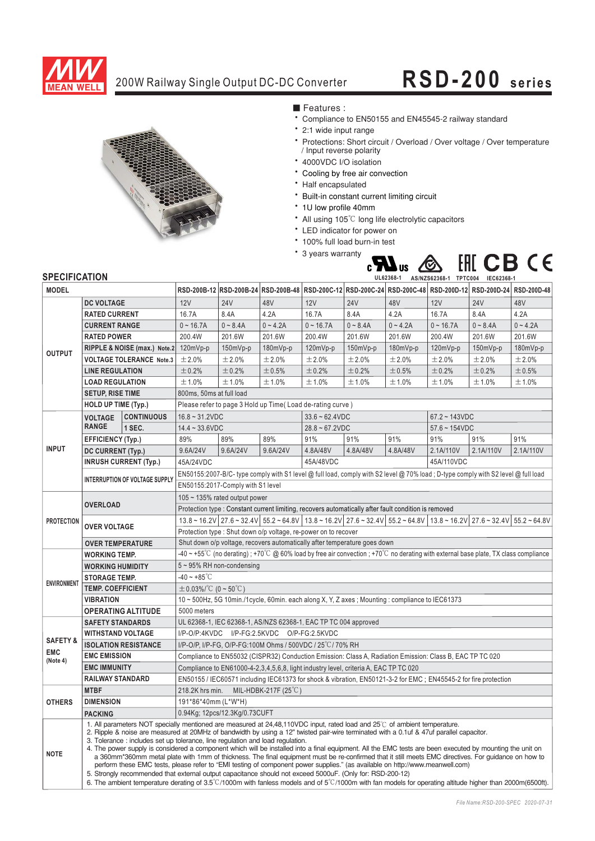

# 200W Railway Single Output DC-DC Converter

# **RSD-200 series**



■ Features :

- Compliance to EN50155 and EN45545-2 railway standard
- 2:1 wide input range
- Protections: Short circuit / Overload / Over voltage / Over temperature / Input reverse polarity
- 4000VDC I/O isolation
- \* Cooling by free air convection
- Half encapsulated
- \* Built-in constant current limiting circuit
- \* 1U low profile 40mm
- All using 105<sup>°C</sup> long life electrolytic capacitors
- \* LED indicator for power on
- 100% full load burn-in test
- \* 3 years warranty



### **SPECIFICATION**

| <b>MODEL</b>        |                                                                                                                                                                                                                                                                                                                                                                                                                                                                                                                                                                                                                                                                                                                                                                                                                                                                                                                                                                                |                              |                                                                                                                                                                                                                                                                      |            | RSD-200B-12 RSD-200B-24 RSD-200B-48 RSD-200C-12 RSD-200C-24 RSD-200C-48 RSD-200D-12 RSD-200D-24 |             |                  |                 |             | RSD-200D-48 |            |
|---------------------|--------------------------------------------------------------------------------------------------------------------------------------------------------------------------------------------------------------------------------------------------------------------------------------------------------------------------------------------------------------------------------------------------------------------------------------------------------------------------------------------------------------------------------------------------------------------------------------------------------------------------------------------------------------------------------------------------------------------------------------------------------------------------------------------------------------------------------------------------------------------------------------------------------------------------------------------------------------------------------|------------------------------|----------------------------------------------------------------------------------------------------------------------------------------------------------------------------------------------------------------------------------------------------------------------|------------|-------------------------------------------------------------------------------------------------|-------------|------------------|-----------------|-------------|-------------|------------|
|                     | <b>DC VOLTAGE</b>                                                                                                                                                                                                                                                                                                                                                                                                                                                                                                                                                                                                                                                                                                                                                                                                                                                                                                                                                              |                              | 12V                                                                                                                                                                                                                                                                  | <b>24V</b> | 48V                                                                                             | 12V         | <b>24V</b>       | 48V             | 12V         | <b>24V</b>  | 48V        |
| <b>OUTPUT</b>       | <b>RATED CURRENT</b>                                                                                                                                                                                                                                                                                                                                                                                                                                                                                                                                                                                                                                                                                                                                                                                                                                                                                                                                                           |                              | 16.7A                                                                                                                                                                                                                                                                | 8.4A       | 4.2A                                                                                            | 16.7A       | 8.4A             | 4.2A            | 16.7A       | 8.4A        | 4.2A       |
|                     | <b>CURRENT RANGE</b>                                                                                                                                                                                                                                                                                                                                                                                                                                                                                                                                                                                                                                                                                                                                                                                                                                                                                                                                                           |                              | $0 - 16.7A$                                                                                                                                                                                                                                                          | $0 - 8.4A$ | $0 - 4.2A$                                                                                      | $0 - 16.7A$ | $0 - 8.4A$       | $0 - 4.2A$      | $0 - 16.7A$ | $0 - 8.4A$  | $0 - 4.2A$ |
|                     | <b>RATED POWER</b>                                                                                                                                                                                                                                                                                                                                                                                                                                                                                                                                                                                                                                                                                                                                                                                                                                                                                                                                                             |                              | 200.4W                                                                                                                                                                                                                                                               | 201.6W     | 201.6W                                                                                          | 200.4W      | 201.6W           | 201.6W          | 200.4W      | 201.6W      | 201.6W     |
|                     | RIPPLE & NOISE (max.) Note.2                                                                                                                                                                                                                                                                                                                                                                                                                                                                                                                                                                                                                                                                                                                                                                                                                                                                                                                                                   |                              | $120mVp-p$                                                                                                                                                                                                                                                           | 150mVp-p   | 180mVp-p                                                                                        | 120mVp-p    | 150mVp-p         | 180mVp-p        | 120mVp-p    | 150mVp-p    | 180mVp-p   |
|                     | <b>VOLTAGE TOLERANCE Note.3</b>                                                                                                                                                                                                                                                                                                                                                                                                                                                                                                                                                                                                                                                                                                                                                                                                                                                                                                                                                |                              | $\pm$ 2.0%                                                                                                                                                                                                                                                           | ±2.0%      | ±2.0%                                                                                           | ±2.0%       | ±2.0%            | ±2.0%           | ±2.0%       | ±2.0%       | ±2.0%      |
|                     | <b>LINE REGULATION</b>                                                                                                                                                                                                                                                                                                                                                                                                                                                                                                                                                                                                                                                                                                                                                                                                                                                                                                                                                         |                              | ±0.2%                                                                                                                                                                                                                                                                | ±0.2%      | ±0.5%                                                                                           | ±0.2%       | ±0.2%            | ±0.5%           | ±0.2%       | ±0.2%       | ±0.5%      |
|                     | <b>LOAD REGULATION</b>                                                                                                                                                                                                                                                                                                                                                                                                                                                                                                                                                                                                                                                                                                                                                                                                                                                                                                                                                         |                              | ±1.0%                                                                                                                                                                                                                                                                | ±1.0%      | ±1.0%                                                                                           | ±1.0%       | ±1.0%            | ±1.0%           | ±1.0%       | ±1.0%       | ±1.0%      |
|                     | <b>SETUP, RISE TIME</b>                                                                                                                                                                                                                                                                                                                                                                                                                                                                                                                                                                                                                                                                                                                                                                                                                                                                                                                                                        |                              | 800ms, 50ms at full load                                                                                                                                                                                                                                             |            |                                                                                                 |             |                  |                 |             |             |            |
|                     | <b>HOLD UP TIME (Typ.)</b>                                                                                                                                                                                                                                                                                                                                                                                                                                                                                                                                                                                                                                                                                                                                                                                                                                                                                                                                                     |                              | Please refer to page 3 Hold up Time(Load de-rating curve)                                                                                                                                                                                                            |            |                                                                                                 |             |                  |                 |             |             |            |
|                     | <b>VOLTAGE</b>                                                                                                                                                                                                                                                                                                                                                                                                                                                                                                                                                                                                                                                                                                                                                                                                                                                                                                                                                                 | <b>CONTINUOUS</b>            | $16.8 - 31.2$ VDC                                                                                                                                                                                                                                                    |            | $33.6 - 62.4$ VDC                                                                               |             |                  | $67.2 - 143VDC$ |             |             |            |
|                     | <b>RANGE</b>                                                                                                                                                                                                                                                                                                                                                                                                                                                                                                                                                                                                                                                                                                                                                                                                                                                                                                                                                                   | 1 SEC.                       | $14.4 - 33.6$ VDC                                                                                                                                                                                                                                                    |            | $28.8 - 67.2$ VDC                                                                               |             | $57.6 - 154 VDC$ |                 |             |             |            |
|                     | <b>EFFICIENCY (Typ.)</b>                                                                                                                                                                                                                                                                                                                                                                                                                                                                                                                                                                                                                                                                                                                                                                                                                                                                                                                                                       |                              | 89%                                                                                                                                                                                                                                                                  | 89%        | 89%                                                                                             | 91%         | 91%              | 91%             | 91%         | 91%         | 91%        |
| <b>INPUT</b>        | DC CURRENT (Typ.)                                                                                                                                                                                                                                                                                                                                                                                                                                                                                                                                                                                                                                                                                                                                                                                                                                                                                                                                                              |                              | 9.6A/24V                                                                                                                                                                                                                                                             | 9.6A/24V   | 9.6A/24V                                                                                        | 4.8A/48V    | 4.8A/48V         | 4.8A/48V        | 2.1A/110V   | 2.1A/110V   | 2.1A/110V  |
|                     |                                                                                                                                                                                                                                                                                                                                                                                                                                                                                                                                                                                                                                                                                                                                                                                                                                                                                                                                                                                | <b>INRUSH CURRENT (Typ.)</b> | 45A/24VDC                                                                                                                                                                                                                                                            |            |                                                                                                 | 45A/48VDC   |                  |                 | 45A/110VDC  |             |            |
|                     | <b>INTERRUPTION OF VOLTAGE SUPPLY</b>                                                                                                                                                                                                                                                                                                                                                                                                                                                                                                                                                                                                                                                                                                                                                                                                                                                                                                                                          |                              | EN50155:2007-B/C-type comply with S1 level @ full load, comply with S2 level @ 70% load; D-type comply with S2 level @ full load                                                                                                                                     |            |                                                                                                 |             |                  |                 |             |             |            |
|                     |                                                                                                                                                                                                                                                                                                                                                                                                                                                                                                                                                                                                                                                                                                                                                                                                                                                                                                                                                                                |                              | EN50155:2017-Comply with S1 level                                                                                                                                                                                                                                    |            |                                                                                                 |             |                  |                 |             |             |            |
| <b>PROTECTION</b>   |                                                                                                                                                                                                                                                                                                                                                                                                                                                                                                                                                                                                                                                                                                                                                                                                                                                                                                                                                                                |                              | 105 $\sim$ 135% rated output power                                                                                                                                                                                                                                   |            |                                                                                                 |             |                  |                 |             |             |            |
|                     | <b>OVERLOAD</b>                                                                                                                                                                                                                                                                                                                                                                                                                                                                                                                                                                                                                                                                                                                                                                                                                                                                                                                                                                |                              | Protection type : Constant current limiting, recovers automatically after fault condition is removed                                                                                                                                                                 |            |                                                                                                 |             |                  |                 |             |             |            |
|                     | <b>OVER VOLTAGE</b>                                                                                                                                                                                                                                                                                                                                                                                                                                                                                                                                                                                                                                                                                                                                                                                                                                                                                                                                                            |                              | $13.8 \approx 16.2 \text{V}$ $27.6 \approx 32.4 \text{V}$ $55.2 \approx 64.8 \text{V}$ $13.8 \approx 16.2 \text{V}$ $27.6 \approx 32.4 \text{V}$ $55.2 \approx 64.8 \text{V}$ $13.8 \approx 16.2 \text{V}$ $27.6 \approx 32.4 \text{V}$ $55.2 \approx 64.8 \text{V}$ |            |                                                                                                 |             |                  |                 |             |             |            |
|                     |                                                                                                                                                                                                                                                                                                                                                                                                                                                                                                                                                                                                                                                                                                                                                                                                                                                                                                                                                                                |                              | Protection type : Shut down o/p voltage, re-power on to recover                                                                                                                                                                                                      |            |                                                                                                 |             |                  |                 |             |             |            |
|                     | <b>OVER TEMPERATURE</b>                                                                                                                                                                                                                                                                                                                                                                                                                                                                                                                                                                                                                                                                                                                                                                                                                                                                                                                                                        |                              | Shut down o/p voltage, recovers automatically after temperature goes down                                                                                                                                                                                            |            |                                                                                                 |             |                  |                 |             |             |            |
|                     | <b>WORKING TEMP.</b>                                                                                                                                                                                                                                                                                                                                                                                                                                                                                                                                                                                                                                                                                                                                                                                                                                                                                                                                                           |                              | -40 ~ +55°C (no derating) : +70°C @ 60% load by free air convection : +70°C no derating with external base plate, TX class compliance                                                                                                                                |            |                                                                                                 |             |                  |                 |             |             |            |
|                     | <b>WORKING HUMIDITY</b>                                                                                                                                                                                                                                                                                                                                                                                                                                                                                                                                                                                                                                                                                                                                                                                                                                                                                                                                                        |                              | $5 \sim 95\%$ RH non-condensing                                                                                                                                                                                                                                      |            |                                                                                                 |             |                  |                 |             |             |            |
| <b>ENVIRONMENT</b>  | <b>STORAGE TEMP.</b>                                                                                                                                                                                                                                                                                                                                                                                                                                                                                                                                                                                                                                                                                                                                                                                                                                                                                                                                                           |                              | $-40 - +85^{\circ}$ C                                                                                                                                                                                                                                                |            |                                                                                                 |             |                  |                 |             |             |            |
|                     | <b>TEMP. COEFFICIENT</b>                                                                                                                                                                                                                                                                                                                                                                                                                                                                                                                                                                                                                                                                                                                                                                                                                                                                                                                                                       |                              | $\pm$ 0.03%/°C (0 ~ 50°C)                                                                                                                                                                                                                                            |            |                                                                                                 |             |                  |                 |             |             |            |
|                     | <b>VIBRATION</b>                                                                                                                                                                                                                                                                                                                                                                                                                                                                                                                                                                                                                                                                                                                                                                                                                                                                                                                                                               |                              | 10 ~ 500Hz, 5G 10min./1cycle, 60min. each along X, Y, Z axes; Mounting : compliance to IEC61373                                                                                                                                                                      |            |                                                                                                 |             |                  |                 |             |             |            |
|                     | <b>OPERATING ALTITUDE</b>                                                                                                                                                                                                                                                                                                                                                                                                                                                                                                                                                                                                                                                                                                                                                                                                                                                                                                                                                      |                              | 5000 meters                                                                                                                                                                                                                                                          |            |                                                                                                 |             |                  |                 |             |             |            |
|                     | <b>SAFETY STANDARDS</b>                                                                                                                                                                                                                                                                                                                                                                                                                                                                                                                                                                                                                                                                                                                                                                                                                                                                                                                                                        |                              | UL 62368-1, IEC 62368-1, AS/NZS 62368-1, EAC TP TC 004 approved                                                                                                                                                                                                      |            |                                                                                                 |             |                  |                 |             |             |            |
| <b>SAFETY &amp;</b> | <b>WITHSTAND VOLTAGE</b>                                                                                                                                                                                                                                                                                                                                                                                                                                                                                                                                                                                                                                                                                                                                                                                                                                                                                                                                                       |                              | I/P-O/P:4KVDC I/P-FG:2.5KVDC O/P-FG:2.5KVDC                                                                                                                                                                                                                          |            |                                                                                                 |             |                  |                 |             |             |            |
| <b>EMC</b>          | <b>ISOLATION RESISTANCE</b>                                                                                                                                                                                                                                                                                                                                                                                                                                                                                                                                                                                                                                                                                                                                                                                                                                                                                                                                                    |                              | I/P-O/P, I/P-FG, O/P-FG:100M Ohms / 500VDC / 25°C/ 70% RH                                                                                                                                                                                                            |            |                                                                                                 |             |                  |                 |             |             |            |
| (Note 4)            | <b>EMC EMISSION</b>                                                                                                                                                                                                                                                                                                                                                                                                                                                                                                                                                                                                                                                                                                                                                                                                                                                                                                                                                            |                              | Compliance to EN55032 (CISPR32) Conduction Emission: Class A, Radiation Emission: Class B, EAC TP TC 020                                                                                                                                                             |            |                                                                                                 |             |                  |                 |             |             |            |
|                     | <b>EMC IMMUNITY</b>                                                                                                                                                                                                                                                                                                                                                                                                                                                                                                                                                                                                                                                                                                                                                                                                                                                                                                                                                            |                              | Compliance to EN61000-4-2,3,4,5,6,8, light industry level, criteria A, EAC TP TC 020                                                                                                                                                                                 |            |                                                                                                 |             |                  |                 |             |             |            |
|                     | <b>RAILWAY STANDARD</b>                                                                                                                                                                                                                                                                                                                                                                                                                                                                                                                                                                                                                                                                                                                                                                                                                                                                                                                                                        |                              | EN50155 / IEC60571 including IEC61373 for shock & vibration, EN50121-3-2 for EMC; EN45545-2 for fire protection                                                                                                                                                      |            |                                                                                                 |             |                  |                 |             |             |            |
| <b>OTHERS</b>       | <b>MTBF</b>                                                                                                                                                                                                                                                                                                                                                                                                                                                                                                                                                                                                                                                                                                                                                                                                                                                                                                                                                                    |                              | 218.2K hrs min.<br>MIL-HDBK-217F $(25^{\circ}$ C)                                                                                                                                                                                                                    |            |                                                                                                 |             |                  |                 |             |             |            |
|                     | <b>DIMENSION</b>                                                                                                                                                                                                                                                                                                                                                                                                                                                                                                                                                                                                                                                                                                                                                                                                                                                                                                                                                               |                              | 191*86*40mm (L*W*H)                                                                                                                                                                                                                                                  |            |                                                                                                 |             |                  |                 |             |             |            |
|                     | <b>PACKING</b>                                                                                                                                                                                                                                                                                                                                                                                                                                                                                                                                                                                                                                                                                                                                                                                                                                                                                                                                                                 |                              | 0.94Kg; 12pcs/12.3Kg/0.73CUFT<br>1. All parameters NOT specially mentioned are measured at 24.48.110VDC input, rated load and 25°C of ambient temperature.                                                                                                           |            |                                                                                                 |             |                  |                 |             |             |            |
| <b>NOTE</b>         | 2. Ripple & noise are measured at 20MHz of bandwidth by using a 12" twisted pair-wire terminated with a 0.1uf & 47uf parallel capacitor.<br>3. Tolerance : includes set up tolerance, line regulation and load regulation.<br>4. The power supply is considered a component which will be installed into a final equipment. All the EMC tests are been executed by mounting the unit on<br>a 360mm*360mm metal plate with 1mm of thickness. The final equipment must be re-confirmed that it still meets EMC directives. For guidance on how to<br>perform these EMC tests, please refer to "EMI testing of component power supplies." (as available on http://www.meanwell.com)<br>5. Strongly recommended that external output capacitance should not exceed 5000uF. (Only for: RSD-200-12)<br>6. The ambient temperature derating of $3.5^{\circ}$ C/1000m with fanless models and of $5^{\circ}$ C/1000m with fan models for operating altitude higher than 2000m(6500ft). |                              |                                                                                                                                                                                                                                                                      |            |                                                                                                 |             |                  |                 |             |             |            |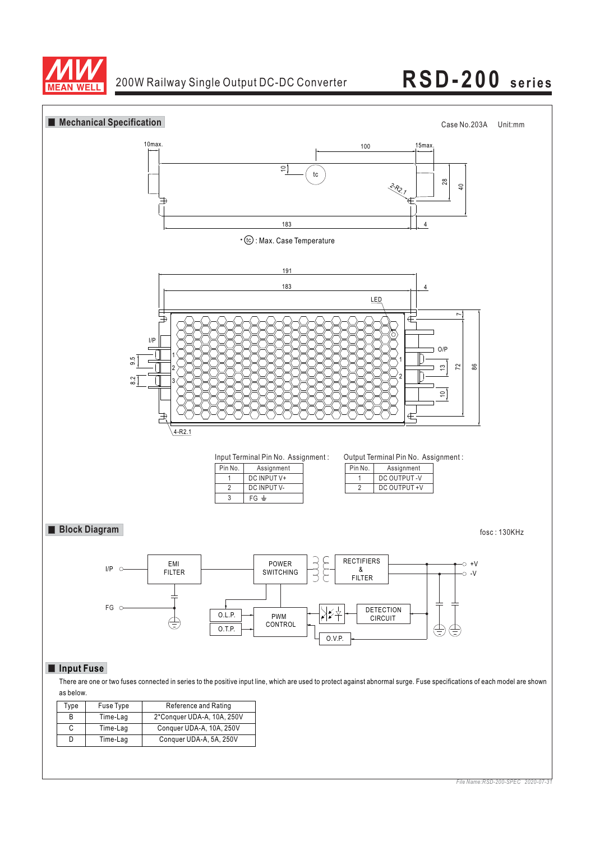

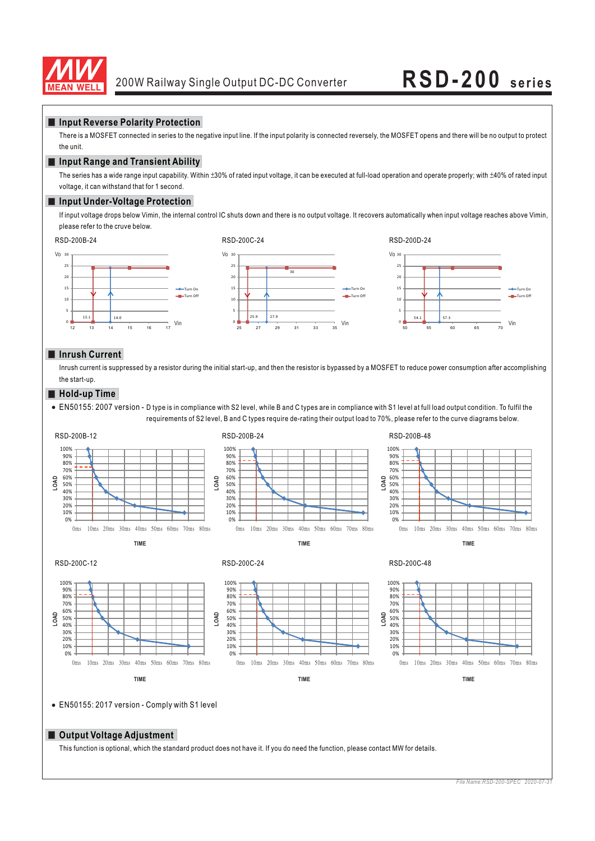

### **Input Reverse Polarity Protection**

There is a MOSFET connected in series to the negative input line. If the input polarity is connected reversely, the MOSFET opens and there will be no output to protect the unit.

## **Input Range and Transient Ability**

The series has a wide range input capability. Within ±30% of rated input voltage, it can be executed at full-load operation and operate properly; with ±40% of rated input voltage, it can withstand that for 1 second.

### **Input Under-Voltage Protection**

If input voltage drops below Vimin, the internal control IC shuts down and there is no output voltage. It recovers automatically when input voltage reaches above Vimin, please refer to the cruve below.



## **Inrush Current**

Inrush current is suppressed by a resistor during the initial start-up, and then the resistor is bypassed by a MOSFET to reduce power consumption after accomplishing the start-up.

### **Hold-up Time**

EN50155: 2007 version - D type is in compliance with S2 level, while B and C types are in compliance with S1 level at full load output condition. To fulfil the requirements of S2 level, B and C types require de-rating their output load to 70%, please refer to the curve diagrams below.



### **Output Voltage Adjustment**

This function is optional, which the standard product does not have it. If you do need the function, please contact MW for details.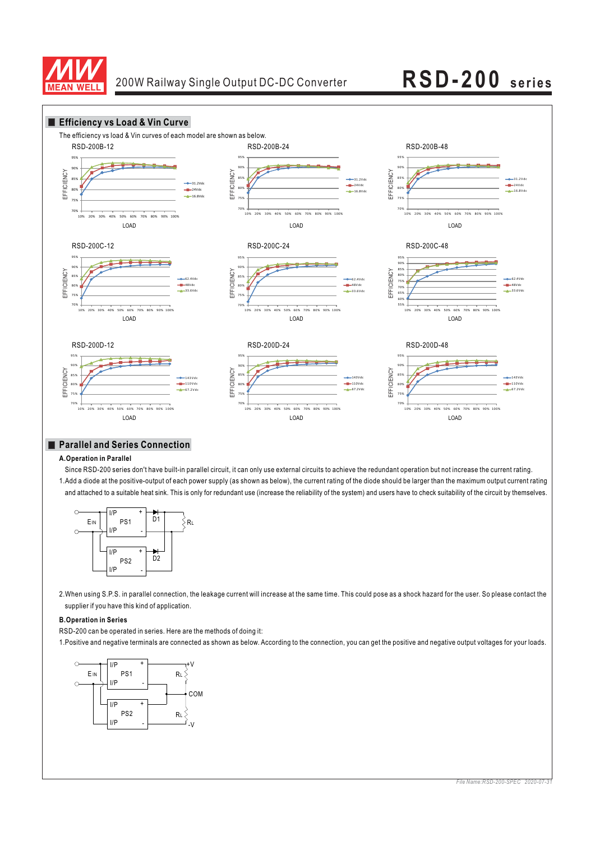



## **Parallel and Series Connection**

### **A.Operation in Parallel**

Since RSD-200 series don't have built-in parallel circuit, it can only use external circuits to achieve the redundant operation but not increase the current rating. 1.Add a diode at the positive-output of each power supply (as shown as below), the current rating of the diode should be larger than the maximum output current rating and attached to a suitable heat sink. This is only for redundant use (increase the reliability of the system) and users have to check suitability of the circuit by themselves.



2.When using S.P.S. in parallel connection, the leakage current will increase at the same time. This could pose as a shock hazard for the user. So please contact the supplier if you have this kind of application.

### **B.Operation in Series**

RSD-200 can be operated in series. Here are the methods of doing it:

1.Positive and negative terminals are connected as shown as below. According to the connection, you can get the positive and negative output voltages for your loads.

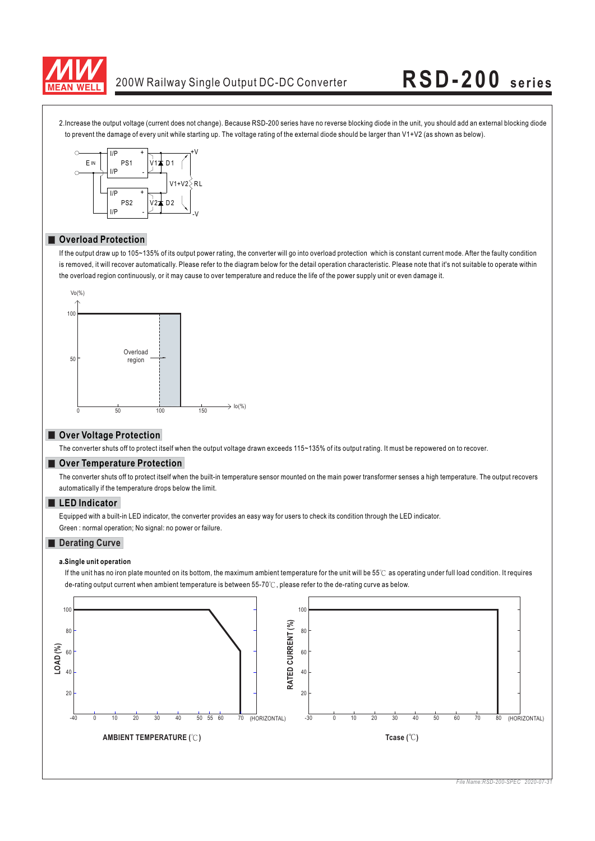

# 200W Railway Single Output DC-DC Converter **RSD-200 series**

2.Increase the output voltage (current does not change). Because RSD-200 series have no reverse blocking diode in the unit, you should add an external blocking diode to prevent the damage of every unit while starting up. The voltage rating of the external diode should be larger than V1+V2 (as shown as below).



### **Overload Protection**

If the output draw up to 105~135% of its output power rating, the converter will go into overload protection which is constant current mode. After the faulty condition is removed, it will recover automatically. Please refer to the diagram below for the detail operation characteristic. Please note that it's not suitable to operate within the overload region continuously, or it may cause to over temperature and reduce the life of the power supply unit or even damage it.



## **Over Voltage Protection**

The converter shuts off to protect itself when the output voltage drawn exceeds 115~135% of its output rating. It must be repowered on to recover.

## $\blacksquare$  Over Temperature Protection

The converter shuts off to protect itself when the built-in temperature sensor mounted on the main power transformer senses a high temperature. The output recovers automatically if the temperature drops below the limit.

### **LED Indicator**

Equipped with a built-in LED indicator, the converter provides an easy way for users to check its condition through the LED indicator. Green : normal operation; No signal: no power or failure.

### **Derating Curve**

### **a.Single unit operation**

de-rating output current when ambient temperature is between 55-70℃, please refer to the de-rating curve as below. If the unit has no iron plate mounted on its bottom, the maximum ambient temperature for the unit will be 55℃ as operating under full load condition. It requires

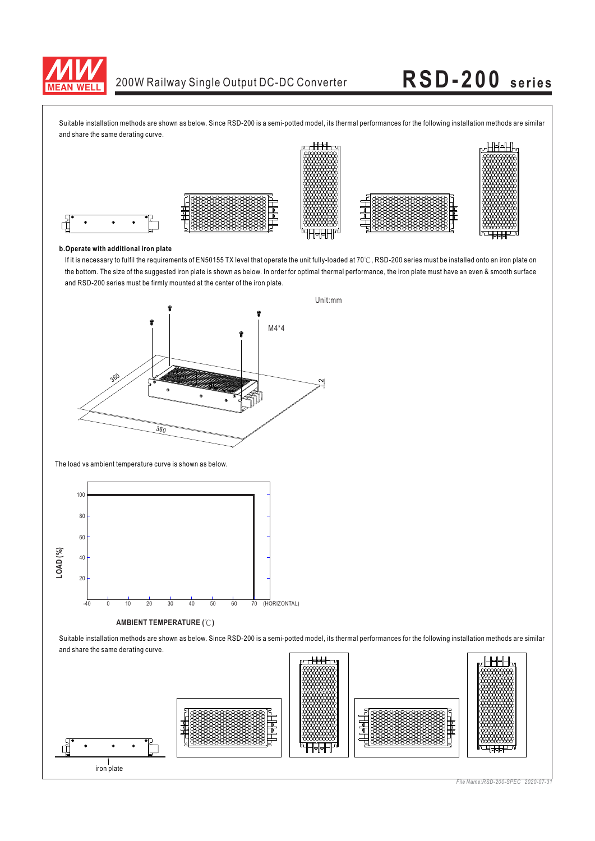

Suitable installation methods are shown as below. Since RSD-200 is a semi-potted model, its thermal performances for the following installation methods are similar and share the same derating curve.



### **b.Operate with additional iron plate**

the bottom. The size of the suggested iron plate is shown as below. In order for optimal thermal performance, the iron plate must have an even & smooth surface and RSD-200 series must be firmly mounted at the center of the iron plate. If it is necessary to fulfil the requirements of EN50155 TX level that operate the unit fully-loaded at 70℃, RSD-200 series must be installed onto an iron plate on



The load vs ambient temperature curve is shown as below.



### **AMBIENT TEMPERATURE (°C)**

Suitable installation methods are shown as below. Since RSD-200 is a semi-potted model, its thermal performances for the following installation methods are similar and share the same derating curve.